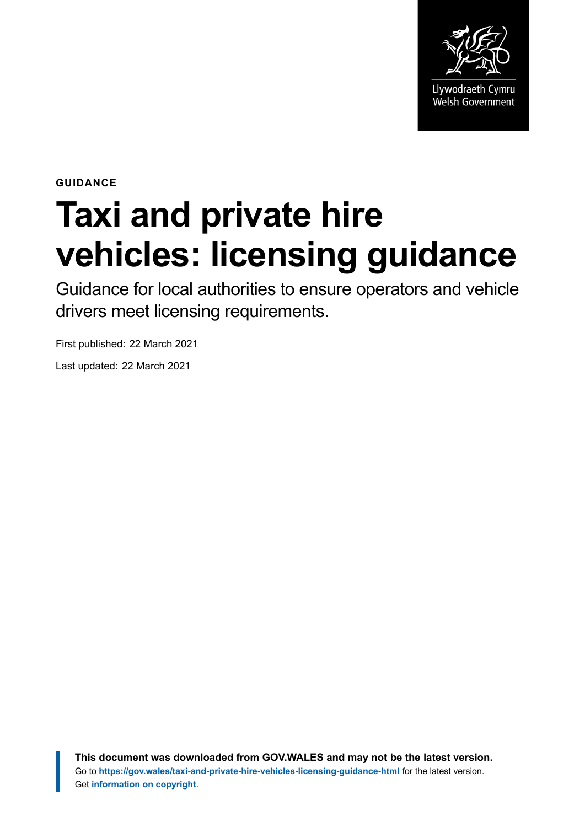

**GUIDANCE**

# **Taxi and private hire vehicles: licensing guidance**

Guidance for local authorities to ensure operators and vehicle drivers meet licensing requirements.

First published: 22 March 2021 Last updated: 22 March 2021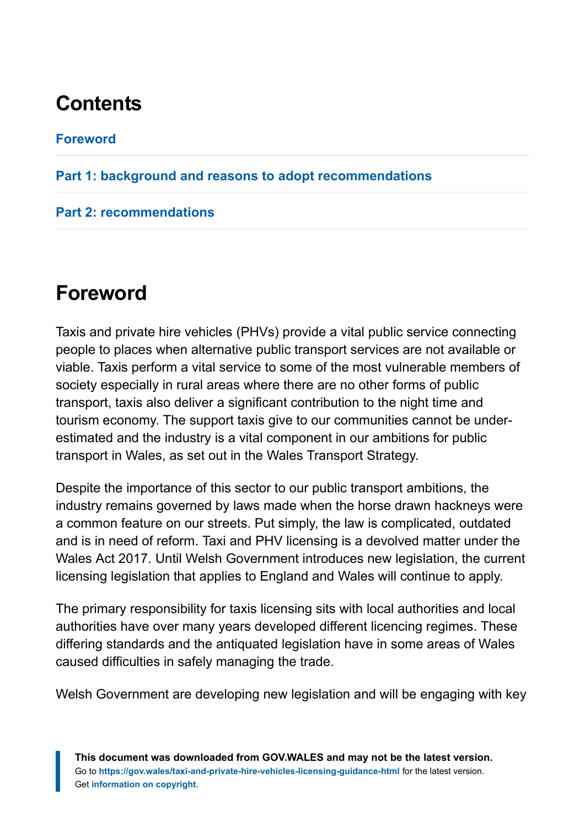# **Contents**

#### **[Foreword](#page-1-0)**

#### **[Part 1: background and reasons to adopt recommendations](#page-2-0)**

#### **[Part 2: recommendations](#page-13-0)**

# <span id="page-1-0"></span>**Foreword**

Taxis and private hire vehicles (PHVs) provide a vital public service connecting people to places when alternative public transport services are not available or viable. Taxis perform a vital service to some of the most vulnerable members of society especially in rural areas where there are no other forms of public transport, taxis also deliver a significant contribution to the night time and tourism economy. The support taxis give to our communities cannot be underestimated and the industry is a vital component in our ambitions for public transport in Wales, as set out in the Wales Transport Strategy.

Despite the importance of this sector to our public transport ambitions, the industry remains governed by laws made when the horse drawn hackneys were a common feature on our streets. Put simply, the law is complicated, outdated and is in need of reform. Taxi and PHV licensing is a devolved matter under the Wales Act 2017. Until Welsh Government introduces new legislation, the current licensing legislation that applies to England and Wales will continue to apply.

The primary responsibility for taxis licensing sits with local authorities and local authorities have over many years developed different licencing regimes. These differing standards and the antiquated legislation have in some areas of Wales caused difficulties in safely managing the trade.

Welsh Government are developing new legislation and will be engaging with key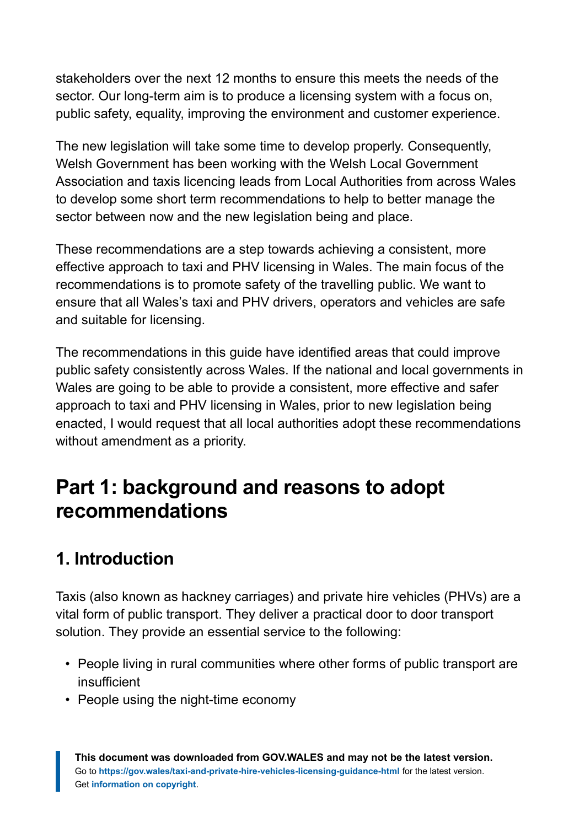stakeholders over the next 12 months to ensure this meets the needs of the sector. Our long-term aim is to produce a licensing system with a focus on, public safety, equality, improving the environment and customer experience.

The new legislation will take some time to develop properly. Consequently, Welsh Government has been working with the Welsh Local Government Association and taxis licencing leads from Local Authorities from across Wales to develop some short term recommendations to help to better manage the sector between now and the new legislation being and place.

These recommendations are a step towards achieving a consistent, more effective approach to taxi and PHV licensing in Wales. The main focus of the recommendations is to promote safety of the travelling public. We want to ensure that all Wales's taxi and PHV drivers, operators and vehicles are safe and suitable for licensing.

The recommendations in this guide have identified areas that could improve public safety consistently across Wales. If the national and local governments in Wales are going to be able to provide a consistent, more effective and safer approach to taxi and PHV licensing in Wales, prior to new legislation being enacted, I would request that all local authorities adopt these recommendations without amendment as a priority.

# <span id="page-2-0"></span>**Part 1: background and reasons to adopt recommendations**

# **1. Introduction**

Taxis (also known as hackney carriages) and private hire vehicles (PHVs) are a vital form of public transport. They deliver a practical door to door transport solution. They provide an essential service to the following:

- People living in rural communities where other forms of public transport are insufficient
- People using the night-time economy

**This document was downloaded from GOV.WALES and may not be the latest version.** Go to **<https://gov.wales/taxi-and-private-hire-vehicles-licensing-guidance-html>** for the latest version. Get **[information on copyright](https://gov.wales/copyright-statement)**.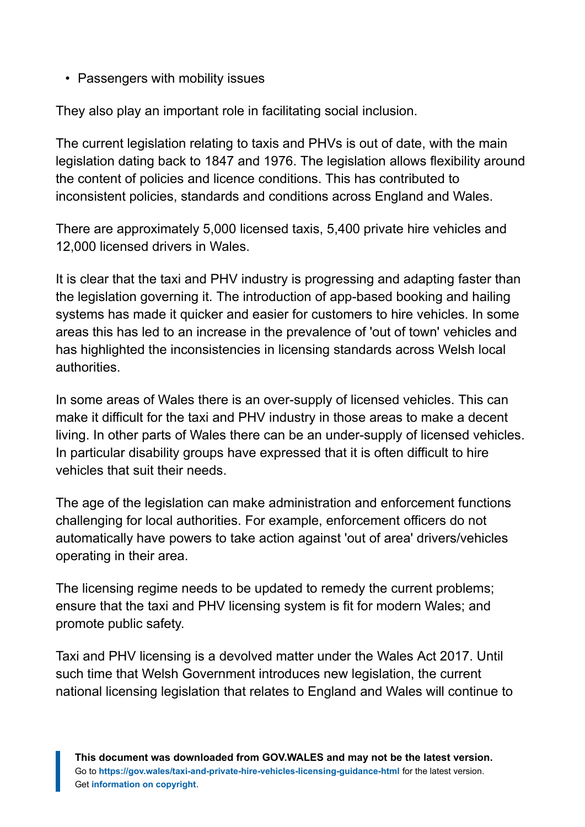• Passengers with mobility issues

They also play an important role in facilitating social inclusion.

The current legislation relating to taxis and PHVs is out of date, with the main legislation dating back to 1847 and 1976. The legislation allows flexibility around the content of policies and licence conditions. This has contributed to inconsistent policies, standards and conditions across England and Wales.

There are approximately 5,000 licensed taxis, 5,400 private hire vehicles and 12,000 licensed drivers in Wales.

It is clear that the taxi and PHV industry is progressing and adapting faster than the legislation governing it. The introduction of app-based booking and hailing systems has made it quicker and easier for customers to hire vehicles. In some areas this has led to an increase in the prevalence of 'out of town' vehicles and has highlighted the inconsistencies in licensing standards across Welsh local authorities.

In some areas of Wales there is an over-supply of licensed vehicles. This can make it difficult for the taxi and PHV industry in those areas to make a decent living. In other parts of Wales there can be an under-supply of licensed vehicles. In particular disability groups have expressed that it is often difficult to hire vehicles that suit their needs.

The age of the legislation can make administration and enforcement functions challenging for local authorities. For example, enforcement officers do not automatically have powers to take action against 'out of area' drivers/vehicles operating in their area.

The licensing regime needs to be updated to remedy the current problems; ensure that the taxi and PHV licensing system is fit for modern Wales; and promote public safety.

Taxi and PHV licensing is a devolved matter under the Wales Act 2017. Until such time that Welsh Government introduces new legislation, the current national licensing legislation that relates to England and Wales will continue to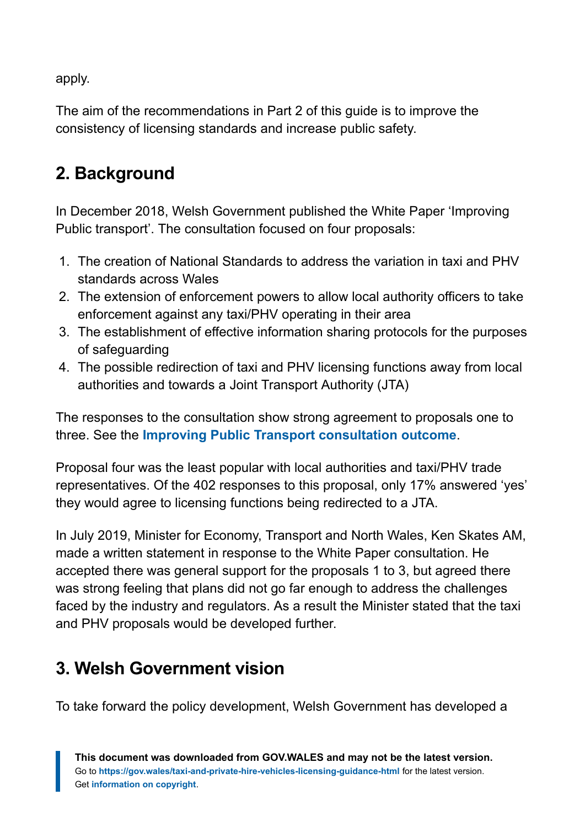apply.

The aim of the recommendations in Part 2 of this guide is to improve the consistency of licensing standards and increase public safety.

# **2. Background**

In December 2018, Welsh Government published the White Paper 'Improving Public transport'. The consultation focused on four proposals:

- 1. The creation of National Standards to address the variation in taxi and PHV standards across Wales
- 2. The extension of enforcement powers to allow local authority officers to take enforcement against any taxi/PHV operating in their area
- 3. The establishment of effective information sharing protocols for the purposes of safeguarding
- 4. The possible redirection of taxi and PHV licensing functions away from local authorities and towards a Joint Transport Authority (JTA)

The responses to the consultation show strong agreement to proposals one to three. See the **[Improving Public Transport consultation outcome](https://gov.wales/improving-public-transport)**.

Proposal four was the least popular with local authorities and taxi/PHV trade representatives. Of the 402 responses to this proposal, only 17% answered 'yes' they would agree to licensing functions being redirected to a JTA.

In July 2019, Minister for Economy, Transport and North Wales, Ken Skates AM, made a written statement in response to the White Paper consultation. He accepted there was general support for the proposals 1 to 3, but agreed there was strong feeling that plans did not go far enough to address the challenges faced by the industry and regulators. As a result the Minister stated that the taxi and PHV proposals would be developed further.

# **3. Welsh Government vision**

To take forward the policy development, Welsh Government has developed a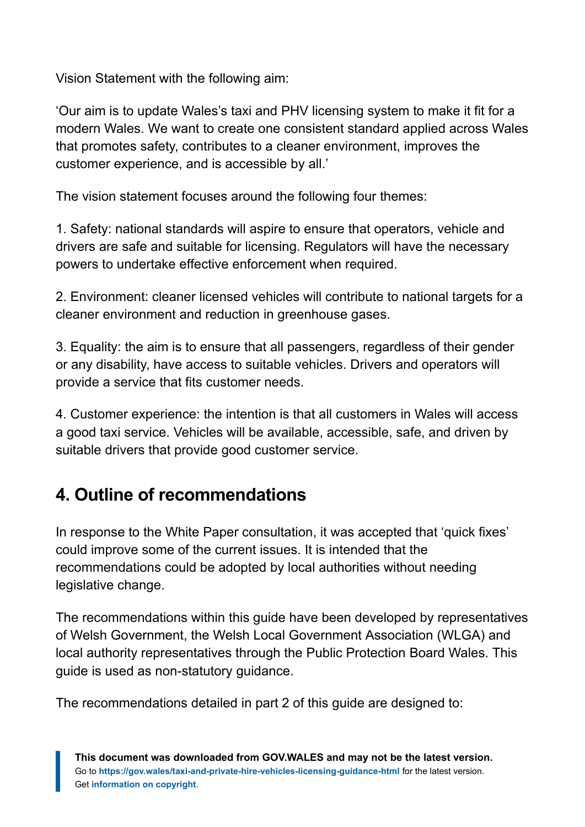Vision Statement with the following aim:

'Our aim is to update Wales's taxi and PHV licensing system to make it fit for a modern Wales. We want to create one consistent standard applied across Wales that promotes safety, contributes to a cleaner environment, improves the customer experience, and is accessible by all.'

The vision statement focuses around the following four themes:

1. Safety: national standards will aspire to ensure that operators, vehicle and drivers are safe and suitable for licensing. Regulators will have the necessary powers to undertake effective enforcement when required.

2. Environment: cleaner licensed vehicles will contribute to national targets for a cleaner environment and reduction in greenhouse gases.

3. Equality: the aim is to ensure that all passengers, regardless of their gender or any disability, have access to suitable vehicles. Drivers and operators will provide a service that fits customer needs.

4. Customer experience: the intention is that all customers in Wales will access a good taxi service. Vehicles will be available, accessible, safe, and driven by suitable drivers that provide good customer service.

# **4. Outline of recommendations**

In response to the White Paper consultation, it was accepted that 'quick fixes' could improve some of the current issues. It is intended that the recommendations could be adopted by local authorities without needing legislative change.

The recommendations within this guide have been developed by representatives of Welsh Government, the Welsh Local Government Association (WLGA) and local authority representatives through the Public Protection Board Wales. This guide is used as non-statutory guidance.

The recommendations detailed in part 2 of this guide are designed to: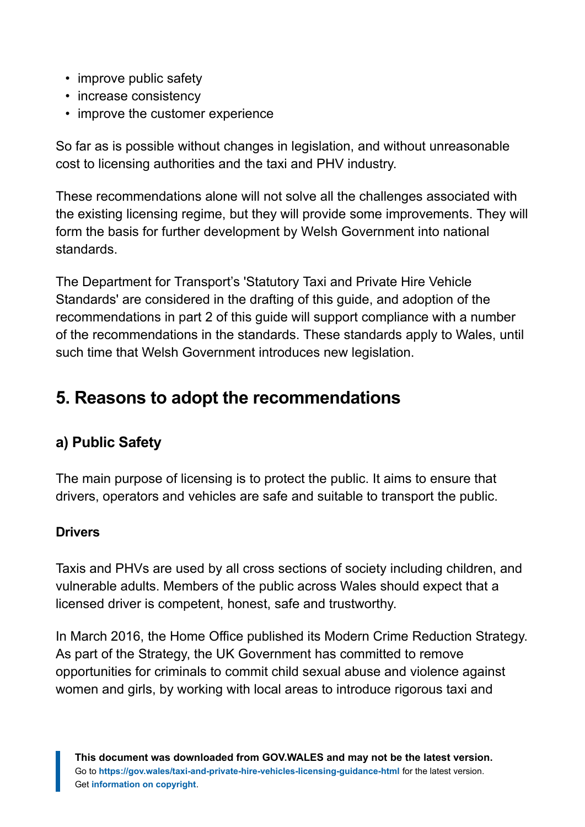- improve public safety
- increase consistency
- improve the customer experience

So far as is possible without changes in legislation, and without unreasonable cost to licensing authorities and the taxi and PHV industry.

These recommendations alone will not solve all the challenges associated with the existing licensing regime, but they will provide some improvements. They will form the basis for further development by Welsh Government into national standards.

The Department for Transport's 'Statutory Taxi and Private Hire Vehicle Standards' are considered in the drafting of this guide, and adoption of the recommendations in part 2 of this guide will support compliance with a number of the recommendations in the standards. These standards apply to Wales, until such time that Welsh Government introduces new legislation.

# **5. Reasons to adopt the recommendations**

### **a) Public Safety**

The main purpose of licensing is to protect the public. It aims to ensure that drivers, operators and vehicles are safe and suitable to transport the public.

#### **Drivers**

Taxis and PHVs are used by all cross sections of society including children, and vulnerable adults. Members of the public across Wales should expect that a licensed driver is competent, honest, safe and trustworthy.

In March 2016, the Home Office published its Modern Crime Reduction Strategy. As part of the Strategy, the UK Government has committed to remove opportunities for criminals to commit child sexual abuse and violence against women and girls, by working with local areas to introduce rigorous taxi and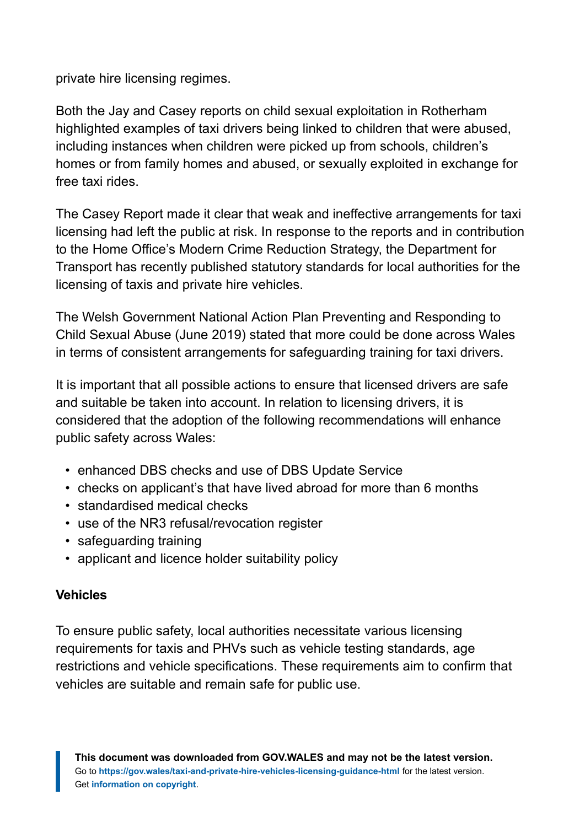private hire licensing regimes.

Both the Jay and Casey reports on child sexual exploitation in Rotherham highlighted examples of taxi drivers being linked to children that were abused, including instances when children were picked up from schools, children's homes or from family homes and abused, or sexually exploited in exchange for free taxi rides.

The Casey Report made it clear that weak and ineffective arrangements for taxi licensing had left the public at risk. In response to the reports and in contribution to the Home Office's Modern Crime Reduction Strategy, the Department for Transport has recently published statutory standards for local authorities for the licensing of taxis and private hire vehicles.

The Welsh Government National Action Plan Preventing and Responding to Child Sexual Abuse (June 2019) stated that more could be done across Wales in terms of consistent arrangements for safeguarding training for taxi drivers.

It is important that all possible actions to ensure that licensed drivers are safe and suitable be taken into account. In relation to licensing drivers, it is considered that the adoption of the following recommendations will enhance public safety across Wales:

- enhanced DBS checks and use of DBS Update Service
- checks on applicant's that have lived abroad for more than 6 months
- standardised medical checks
- use of the NR3 refusal/revocation register
- safeguarding training
- applicant and licence holder suitability policy

#### **Vehicles**

To ensure public safety, local authorities necessitate various licensing requirements for taxis and PHVs such as vehicle testing standards, age restrictions and vehicle specifications. These requirements aim to confirm that vehicles are suitable and remain safe for public use.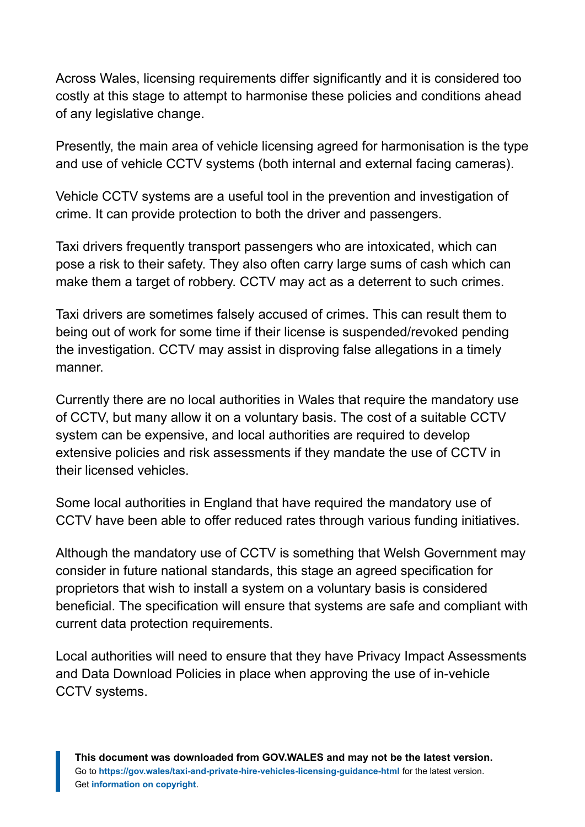Across Wales, licensing requirements differ significantly and it is considered too costly at this stage to attempt to harmonise these policies and conditions ahead of any legislative change.

Presently, the main area of vehicle licensing agreed for harmonisation is the type and use of vehicle CCTV systems (both internal and external facing cameras).

Vehicle CCTV systems are a useful tool in the prevention and investigation of crime. It can provide protection to both the driver and passengers.

Taxi drivers frequently transport passengers who are intoxicated, which can pose a risk to their safety. They also often carry large sums of cash which can make them a target of robbery. CCTV may act as a deterrent to such crimes.

Taxi drivers are sometimes falsely accused of crimes. This can result them to being out of work for some time if their license is suspended/revoked pending the investigation. CCTV may assist in disproving false allegations in a timely manner.

Currently there are no local authorities in Wales that require the mandatory use of CCTV, but many allow it on a voluntary basis. The cost of a suitable CCTV system can be expensive, and local authorities are required to develop extensive policies and risk assessments if they mandate the use of CCTV in their licensed vehicles.

Some local authorities in England that have required the mandatory use of CCTV have been able to offer reduced rates through various funding initiatives.

Although the mandatory use of CCTV is something that Welsh Government may consider in future national standards, this stage an agreed specification for proprietors that wish to install a system on a voluntary basis is considered beneficial. The specification will ensure that systems are safe and compliant with current data protection requirements.

Local authorities will need to ensure that they have Privacy Impact Assessments and Data Download Policies in place when approving the use of in-vehicle CCTV systems.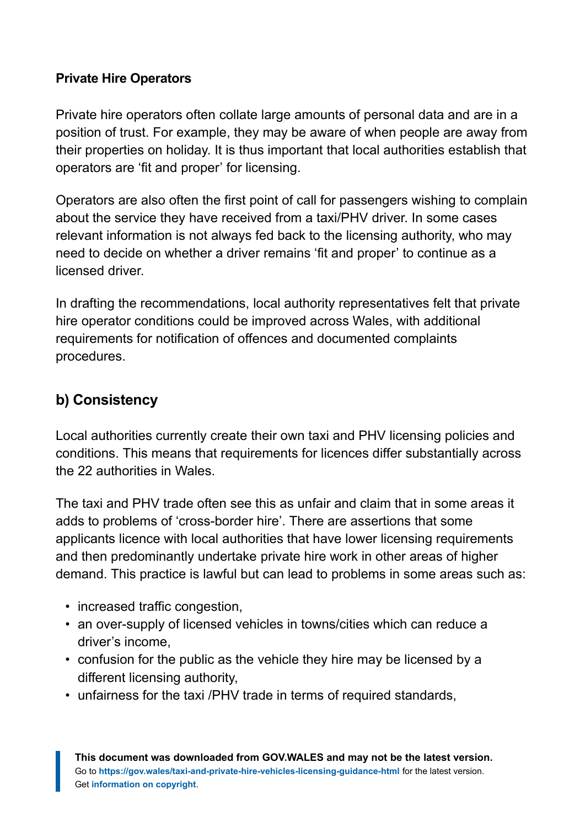#### **Private Hire Operators**

Private hire operators often collate large amounts of personal data and are in a position of trust. For example, they may be aware of when people are away from their properties on holiday. It is thus important that local authorities establish that operators are 'fit and proper' for licensing.

Operators are also often the first point of call for passengers wishing to complain about the service they have received from a taxi/PHV driver. In some cases relevant information is not always fed back to the licensing authority, who may need to decide on whether a driver remains 'fit and proper' to continue as a licensed driver.

In drafting the recommendations, local authority representatives felt that private hire operator conditions could be improved across Wales, with additional requirements for notification of offences and documented complaints procedures.

#### **b) Consistency**

Local authorities currently create their own taxi and PHV licensing policies and conditions. This means that requirements for licences differ substantially across the 22 authorities in Wales.

The taxi and PHV trade often see this as unfair and claim that in some areas it adds to problems of 'cross-border hire'. There are assertions that some applicants licence with local authorities that have lower licensing requirements and then predominantly undertake private hire work in other areas of higher demand. This practice is lawful but can lead to problems in some areas such as:

- increased traffic congestion,
- an over-supply of licensed vehicles in towns/cities which can reduce a driver's income,
- confusion for the public as the vehicle they hire may be licensed by a different licensing authority,
- unfairness for the taxi /PHV trade in terms of required standards,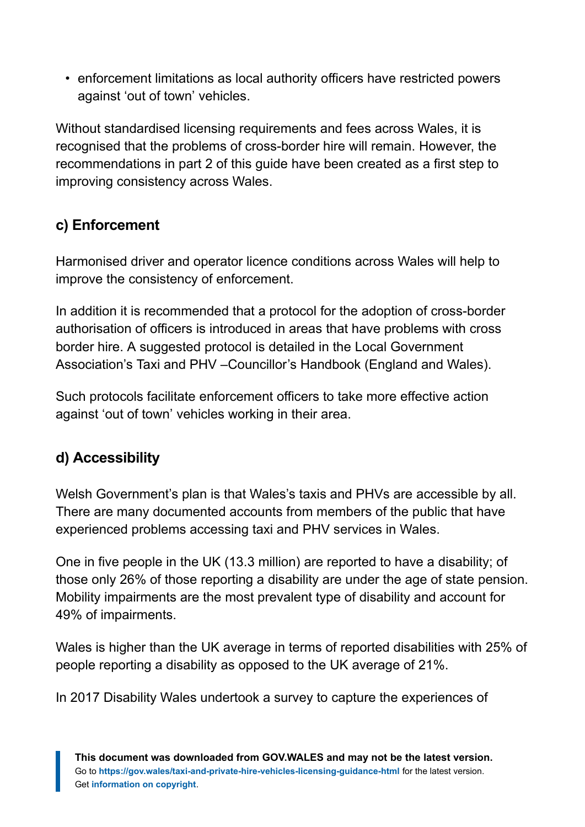• enforcement limitations as local authority officers have restricted powers against 'out of town' vehicles.

Without standardised licensing requirements and fees across Wales, it is recognised that the problems of cross-border hire will remain. However, the recommendations in part 2 of this guide have been created as a first step to improving consistency across Wales.

#### **c) Enforcement**

Harmonised driver and operator licence conditions across Wales will help to improve the consistency of enforcement.

In addition it is recommended that a protocol for the adoption of cross-border authorisation of officers is introduced in areas that have problems with cross border hire. A suggested protocol is detailed in the Local Government Association's Taxi and PHV –Councillor's Handbook (England and Wales).

Such protocols facilitate enforcement officers to take more effective action against 'out of town' vehicles working in their area.

#### **d) Accessibility**

Welsh Government's plan is that Wales's taxis and PHVs are accessible by all. There are many documented accounts from members of the public that have experienced problems accessing taxi and PHV services in Wales.

One in five people in the UK (13.3 million) are reported to have a disability; of those only 26% of those reporting a disability are under the age of state pension. Mobility impairments are the most prevalent type of disability and account for 49% of impairments.

Wales is higher than the UK average in terms of reported disabilities with 25% of people reporting a disability as opposed to the UK average of 21%.

In 2017 Disability Wales undertook a survey to capture the experiences of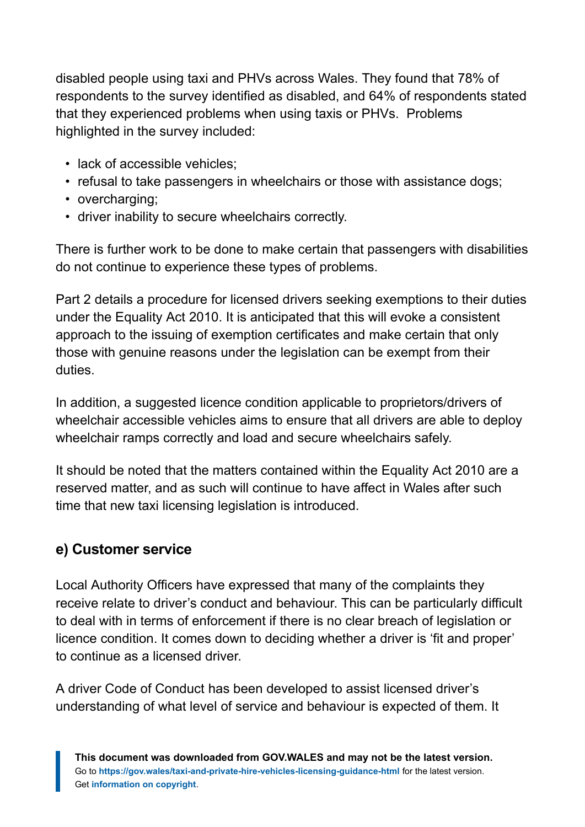disabled people using taxi and PHVs across Wales. They found that 78% of respondents to the survey identified as disabled, and 64% of respondents stated that they experienced problems when using taxis or PHVs. Problems highlighted in the survey included:

- lack of accessible vehicles;
- refusal to take passengers in wheelchairs or those with assistance dogs;
- overcharging;
- driver inability to secure wheelchairs correctly.

There is further work to be done to make certain that passengers with disabilities do not continue to experience these types of problems.

Part 2 details a procedure for licensed drivers seeking exemptions to their duties under the Equality Act 2010. It is anticipated that this will evoke a consistent approach to the issuing of exemption certificates and make certain that only those with genuine reasons under the legislation can be exempt from their duties.

In addition, a suggested licence condition applicable to proprietors/drivers of wheelchair accessible vehicles aims to ensure that all drivers are able to deploy wheelchair ramps correctly and load and secure wheelchairs safely.

It should be noted that the matters contained within the Equality Act 2010 are a reserved matter, and as such will continue to have affect in Wales after such time that new taxi licensing legislation is introduced.

#### **e) Customer service**

Local Authority Officers have expressed that many of the complaints they receive relate to driver's conduct and behaviour. This can be particularly difficult to deal with in terms of enforcement if there is no clear breach of legislation or licence condition. It comes down to deciding whether a driver is 'fit and proper' to continue as a licensed driver.

A driver Code of Conduct has been developed to assist licensed driver's understanding of what level of service and behaviour is expected of them. It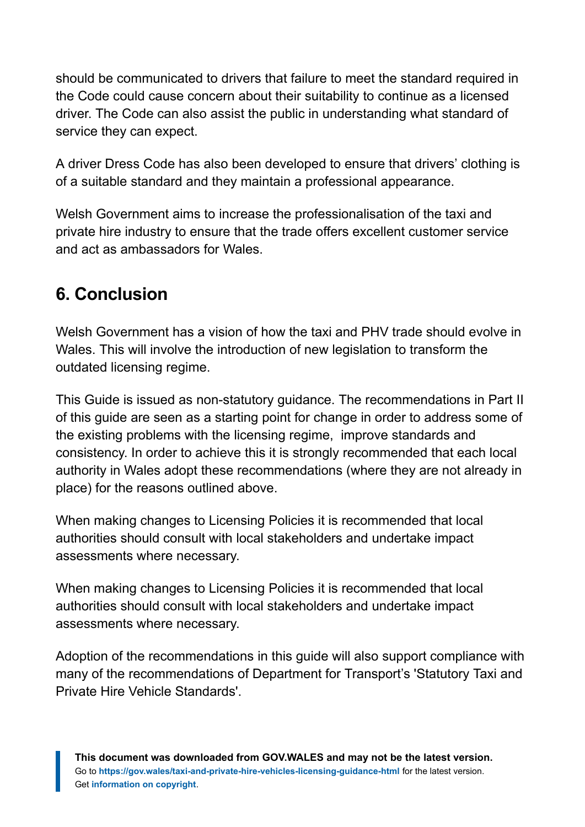should be communicated to drivers that failure to meet the standard required in the Code could cause concern about their suitability to continue as a licensed driver. The Code can also assist the public in understanding what standard of service they can expect.

A driver Dress Code has also been developed to ensure that drivers' clothing is of a suitable standard and they maintain a professional appearance.

Welsh Government aims to increase the professionalisation of the taxi and private hire industry to ensure that the trade offers excellent customer service and act as ambassadors for Wales.

### **6. Conclusion**

Welsh Government has a vision of how the taxi and PHV trade should evolve in Wales. This will involve the introduction of new legislation to transform the outdated licensing regime.

This Guide is issued as non-statutory guidance. The recommendations in Part II of this guide are seen as a starting point for change in order to address some of the existing problems with the licensing regime, improve standards and consistency. In order to achieve this it is strongly recommended that each local authority in Wales adopt these recommendations (where they are not already in place) for the reasons outlined above.

When making changes to Licensing Policies it is recommended that local authorities should consult with local stakeholders and undertake impact assessments where necessary.

When making changes to Licensing Policies it is recommended that local authorities should consult with local stakeholders and undertake impact assessments where necessary.

Adoption of the recommendations in this guide will also support compliance with many of the recommendations of Department for Transport's 'Statutory Taxi and Private Hire Vehicle Standards'.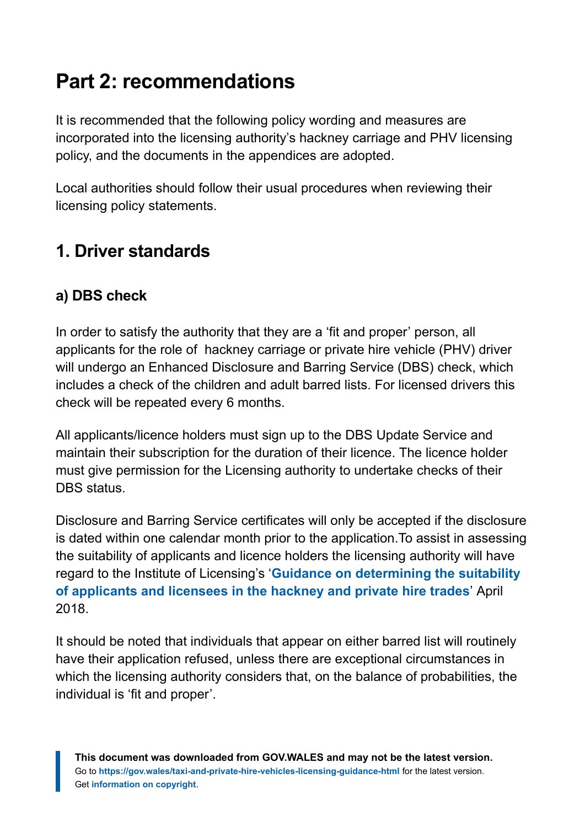# <span id="page-13-0"></span>**Part 2: recommendations**

It is recommended that the following policy wording and measures are incorporated into the licensing authority's hackney carriage and PHV licensing policy, and the documents in the appendices are adopted.

Local authorities should follow their usual procedures when reviewing their licensing policy statements.

### **1. Driver standards**

#### **a) DBS check**

In order to satisfy the authority that they are a 'fit and proper' person, all applicants for the role of hackney carriage or private hire vehicle (PHV) driver will undergo an Enhanced Disclosure and Barring Service (DBS) check, which includes a check of the children and adult barred lists. For licensed drivers this check will be repeated every 6 months.

All applicants/licence holders must sign up to the DBS Update Service and maintain their subscription for the duration of their licence. The licence holder must give permission for the Licensing authority to undertake checks of their DBS status.

Disclosure and Barring Service certificates will only be accepted if the disclosure is dated within one calendar month prior to the application.To assist in assessing the suitability of applicants and licence holders the licensing authority will have regard to the Institute of Licensing's '**[Guidance on determining the suitability](https://instituteoflicensing.org/documents/Guidance_on_Suitability_Web_Version_(16_May_2018).pdf) [of applicants and licensees in the hackney and private hire trades](https://instituteoflicensing.org/documents/Guidance_on_Suitability_Web_Version_(16_May_2018).pdf)**' April 2018.

It should be noted that individuals that appear on either barred list will routinely have their application refused, unless there are exceptional circumstances in which the licensing authority considers that, on the balance of probabilities, the individual is 'fit and proper'.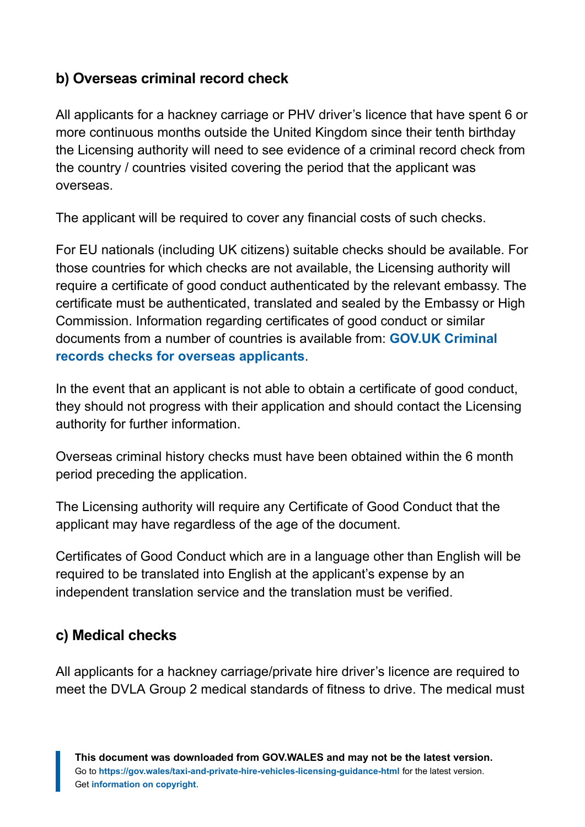#### **b) Overseas criminal record check**

All applicants for a hackney carriage or PHV driver's licence that have spent 6 or more continuous months outside the United Kingdom since their tenth birthday the Licensing authority will need to see evidence of a criminal record check from the country / countries visited covering the period that the applicant was overseas.

The applicant will be required to cover any financial costs of such checks.

For EU nationals (including UK citizens) suitable checks should be available. For those countries for which checks are not available, the Licensing authority will require a certificate of good conduct authenticated by the relevant embassy. The certificate must be authenticated, translated and sealed by the Embassy or High Commission. Information regarding certificates of good conduct or similar documents from a number of countries is available from: **[GOV.UK Criminal](https://www.gov.uk/government/publications/criminal-records-checks-for-overseas-applicants) [records checks for overseas applicants](https://www.gov.uk/government/publications/criminal-records-checks-for-overseas-applicants)**.

In the event that an applicant is not able to obtain a certificate of good conduct, they should not progress with their application and should contact the Licensing authority for further information.

Overseas criminal history checks must have been obtained within the 6 month period preceding the application.

The Licensing authority will require any Certificate of Good Conduct that the applicant may have regardless of the age of the document.

Certificates of Good Conduct which are in a language other than English will be required to be translated into English at the applicant's expense by an independent translation service and the translation must be verified.

#### **c) Medical checks**

All applicants for a hackney carriage/private hire driver's licence are required to meet the DVLA Group 2 medical standards of fitness to drive. The medical must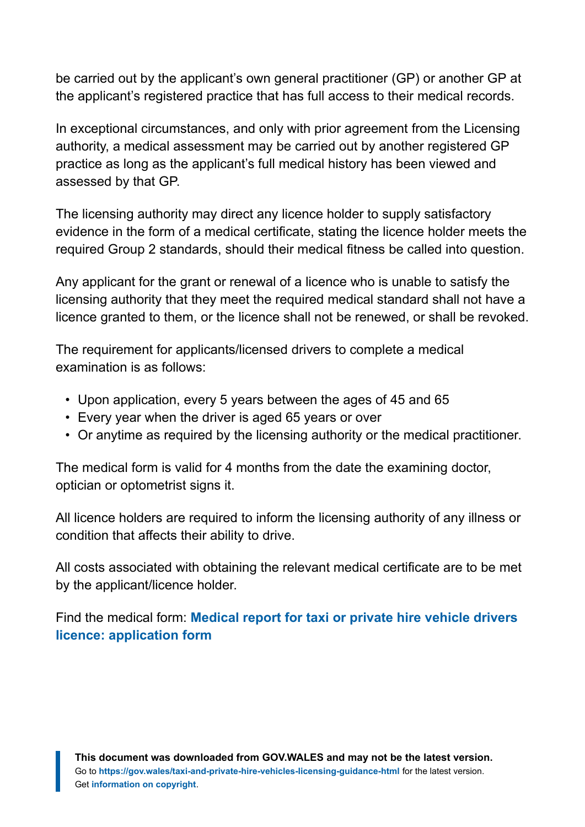be carried out by the applicant's own general practitioner (GP) or another GP at the applicant's registered practice that has full access to their medical records.

In exceptional circumstances, and only with prior agreement from the Licensing authority, a medical assessment may be carried out by another registered GP practice as long as the applicant's full medical history has been viewed and assessed by that GP.

The licensing authority may direct any licence holder to supply satisfactory evidence in the form of a medical certificate, stating the licence holder meets the required Group 2 standards, should their medical fitness be called into question.

Any applicant for the grant or renewal of a licence who is unable to satisfy the licensing authority that they meet the required medical standard shall not have a licence granted to them, or the licence shall not be renewed, or shall be revoked.

The requirement for applicants/licensed drivers to complete a medical examination is as follows:

- Upon application, every 5 years between the ages of 45 and 65
- Every year when the driver is aged 65 years or over
- Or anytime as required by the licensing authority or the medical practitioner.

The medical form is valid for 4 months from the date the examining doctor, optician or optometrist signs it.

All licence holders are required to inform the licensing authority of any illness or condition that affects their ability to drive.

All costs associated with obtaining the relevant medical certificate are to be met by the applicant/licence holder.

Find the medical form: **[Medical report for taxi or private hire vehicle drivers](https://gov.wales/medical-report-taxi-or-private-hire-vehicle-drivers-licence-application-form) [licence: application form](https://gov.wales/medical-report-taxi-or-private-hire-vehicle-drivers-licence-application-form)**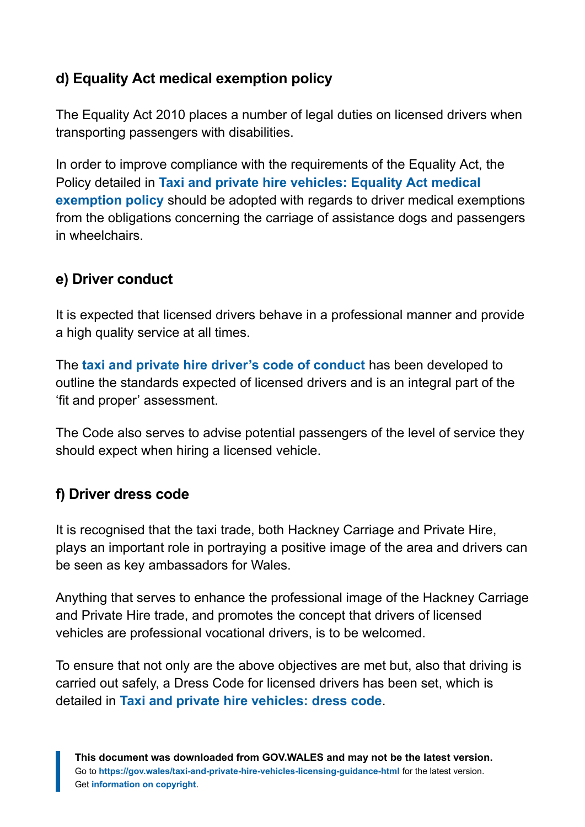#### **d) Equality Act medical exemption policy**

The Equality Act 2010 places a number of legal duties on licensed drivers when transporting passengers with disabilities.

In order to improve compliance with the requirements of the Equality Act, the Policy detailed in **[Taxi and private hire vehicles: Equality Act medical](https://gov.wales/taxi-and-private-hire-vehicles-equality-act-medical-exemption-policy) [exemption policy](https://gov.wales/taxi-and-private-hire-vehicles-equality-act-medical-exemption-policy)** should be adopted with regards to driver medical exemptions from the obligations concerning the carriage of assistance dogs and passengers in wheelchairs.

#### **e) Driver conduct**

It is expected that licensed drivers behave in a professional manner and provide a high quality service at all times.

The **[taxi and private hire driver's code of conduct](https://gov.wales/taxi-and-private-hire-drivers-code-conduct)** has been developed to outline the standards expected of licensed drivers and is an integral part of the 'fit and proper' assessment.

The Code also serves to advise potential passengers of the level of service they should expect when hiring a licensed vehicle.

#### **f) Driver dress code**

It is recognised that the taxi trade, both Hackney Carriage and Private Hire, plays an important role in portraying a positive image of the area and drivers can be seen as key ambassadors for Wales.

Anything that serves to enhance the professional image of the Hackney Carriage and Private Hire trade, and promotes the concept that drivers of licensed vehicles are professional vocational drivers, is to be welcomed.

To ensure that not only are the above objectives are met but, also that driving is carried out safely, a Dress Code for licensed drivers has been set, which is detailed in **[Taxi and private hire vehicles: dress code](https://gov.wales/taxi-and-private-hire-vehicles-dress-code)**.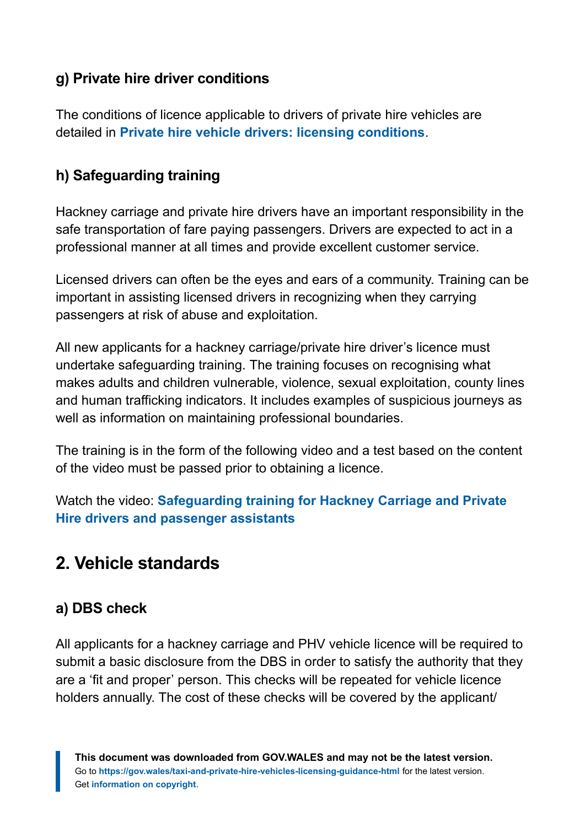#### **g) Private hire driver conditions**

The conditions of licence applicable to drivers of private hire vehicles are detailed in **[Private hire vehicle drivers: licensing conditions](https://gov.wales/private-hire-vehicle-drivers-licensing-conditions)**.

#### **h) Safeguarding training**

Hackney carriage and private hire drivers have an important responsibility in the safe transportation of fare paying passengers. Drivers are expected to act in a professional manner at all times and provide excellent customer service.

Licensed drivers can often be the eyes and ears of a community. Training can be important in assisting licensed drivers in recognizing when they carrying passengers at risk of abuse and exploitation.

All new applicants for a hackney carriage/private hire driver's licence must undertake safeguarding training. The training focuses on recognising what makes adults and children vulnerable, violence, sexual exploitation, county lines and human trafficking indicators. It includes examples of suspicious journeys as well as information on maintaining professional boundaries.

The training is in the form of the following video and a test based on the content of the video must be passed prior to obtaining a licence.

Watch the video: **[Safeguarding training for Hackney Carriage and Private](https://vimeo.com/369335248/be28cb645a) [Hire drivers and passenger assistants](https://vimeo.com/369335248/be28cb645a)**

### **2. Vehicle standards**

#### **a) DBS check**

All applicants for a hackney carriage and PHV vehicle licence will be required to submit a basic disclosure from the DBS in order to satisfy the authority that they are a 'fit and proper' person. This checks will be repeated for vehicle licence holders annually. The cost of these checks will be covered by the applicant/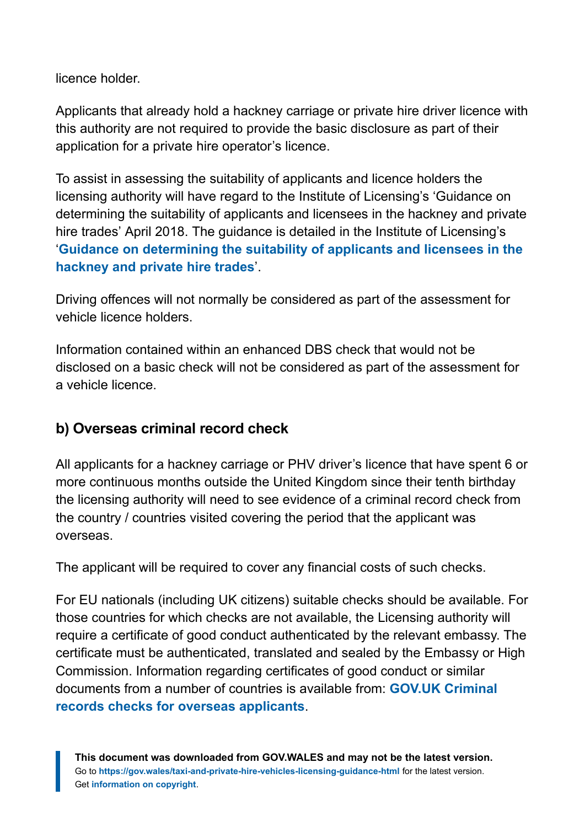licence holder.

Applicants that already hold a hackney carriage or private hire driver licence with this authority are not required to provide the basic disclosure as part of their application for a private hire operator's licence.

To assist in assessing the suitability of applicants and licence holders the licensing authority will have regard to the Institute of Licensing's 'Guidance on determining the suitability of applicants and licensees in the hackney and private hire trades' April 2018. The guidance is detailed in the Institute of Licensing's '**[Guidance on determining the suitability of applicants and licensees in the](https://instituteoflicensing.org/documents/Guidance_on_Suitability_Web_Version_(16_May_2018).pdf) [hackney and private hire trades](https://instituteoflicensing.org/documents/Guidance_on_Suitability_Web_Version_(16_May_2018).pdf)**'.

Driving offences will not normally be considered as part of the assessment for vehicle licence holders.

Information contained within an enhanced DBS check that would not be disclosed on a basic check will not be considered as part of the assessment for a vehicle licence.

#### **b) Overseas criminal record check**

All applicants for a hackney carriage or PHV driver's licence that have spent 6 or more continuous months outside the United Kingdom since their tenth birthday the licensing authority will need to see evidence of a criminal record check from the country / countries visited covering the period that the applicant was overseas.

The applicant will be required to cover any financial costs of such checks.

For EU nationals (including UK citizens) suitable checks should be available. For those countries for which checks are not available, the Licensing authority will require a certificate of good conduct authenticated by the relevant embassy. The certificate must be authenticated, translated and sealed by the Embassy or High Commission. Information regarding certificates of good conduct or similar documents from a number of countries is available from: **[GOV.UK Criminal](https://www.gov.uk/government/publications/criminal-records-checks-for-overseas-applicants) [records checks for overseas applicants](https://www.gov.uk/government/publications/criminal-records-checks-for-overseas-applicants)**.

**This document was downloaded from GOV.WALES and may not be the latest version.** Go to **<https://gov.wales/taxi-and-private-hire-vehicles-licensing-guidance-html>** for the latest version. Get **[information on copyright](https://gov.wales/copyright-statement)**.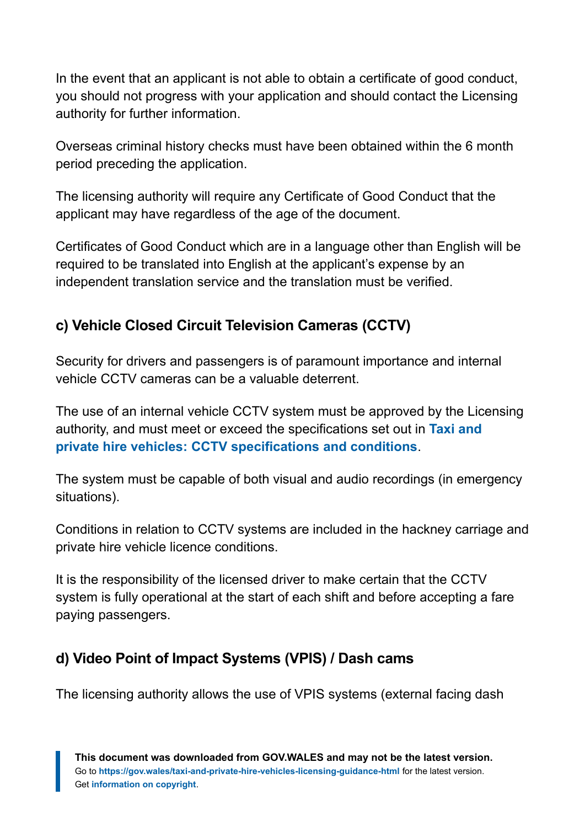In the event that an applicant is not able to obtain a certificate of good conduct, you should not progress with your application and should contact the Licensing authority for further information.

Overseas criminal history checks must have been obtained within the 6 month period preceding the application.

The licensing authority will require any Certificate of Good Conduct that the applicant may have regardless of the age of the document.

Certificates of Good Conduct which are in a language other than English will be required to be translated into English at the applicant's expense by an independent translation service and the translation must be verified.

#### **c) Vehicle Closed Circuit Television Cameras (CCTV)**

Security for drivers and passengers is of paramount importance and internal vehicle CCTV cameras can be a valuable deterrent.

The use of an internal vehicle CCTV system must be approved by the Licensing authority, and must meet or exceed the specifications set out in **[Taxi and](https://gov.wales/taxi-and-private-hire-vehicles-cctv-specifications-and-conditions) [private hire vehicles: CCTV specifications and conditions](https://gov.wales/taxi-and-private-hire-vehicles-cctv-specifications-and-conditions)**.

The system must be capable of both visual and audio recordings (in emergency situations).

Conditions in relation to CCTV systems are included in the hackney carriage and private hire vehicle licence conditions.

It is the responsibility of the licensed driver to make certain that the CCTV system is fully operational at the start of each shift and before accepting a fare paying passengers.

#### **d) Video Point of Impact Systems (VPIS) / Dash cams**

The licensing authority allows the use of VPIS systems (external facing dash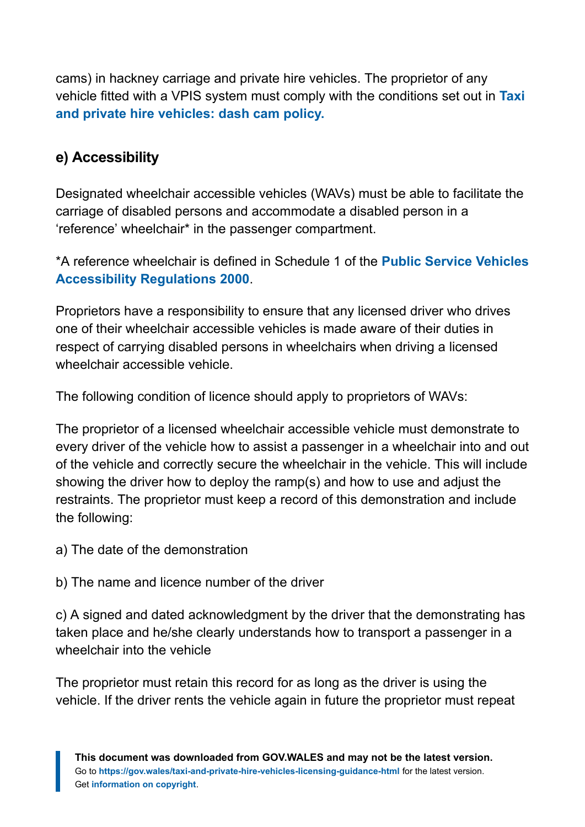cams) in hackney carriage and private hire vehicles. The proprietor of any vehicle fitted with a VPIS system must comply with the conditions set out in **[Taxi](https://gov.wales/taxi-and-private-hire-vehicles-dash-cam-policy) [and private hire vehicles: dash cam policy.](https://gov.wales/taxi-and-private-hire-vehicles-dash-cam-policy)**

#### **e) Accessibility**

Designated wheelchair accessible vehicles (WAVs) must be able to facilitate the carriage of disabled persons and accommodate a disabled person in a 'reference' wheelchair\* in the passenger compartment.

\*A reference wheelchair is defined in Schedule 1 of the **[Public Service Vehicles](https://www.legislation.gov.uk/uksi/2000/1970/schedule/1/made) [Accessibility Regulations 2000](https://www.legislation.gov.uk/uksi/2000/1970/schedule/1/made)**.

Proprietors have a responsibility to ensure that any licensed driver who drives one of their wheelchair accessible vehicles is made aware of their duties in respect of carrying disabled persons in wheelchairs when driving a licensed wheelchair accessible vehicle.

The following condition of licence should apply to proprietors of WAVs:

The proprietor of a licensed wheelchair accessible vehicle must demonstrate to every driver of the vehicle how to assist a passenger in a wheelchair into and out of the vehicle and correctly secure the wheelchair in the vehicle. This will include showing the driver how to deploy the ramp(s) and how to use and adjust the restraints. The proprietor must keep a record of this demonstration and include the following:

a) The date of the demonstration

b) The name and licence number of the driver

c) A signed and dated acknowledgment by the driver that the demonstrating has taken place and he/she clearly understands how to transport a passenger in a wheelchair into the vehicle

The proprietor must retain this record for as long as the driver is using the vehicle. If the driver rents the vehicle again in future the proprietor must repeat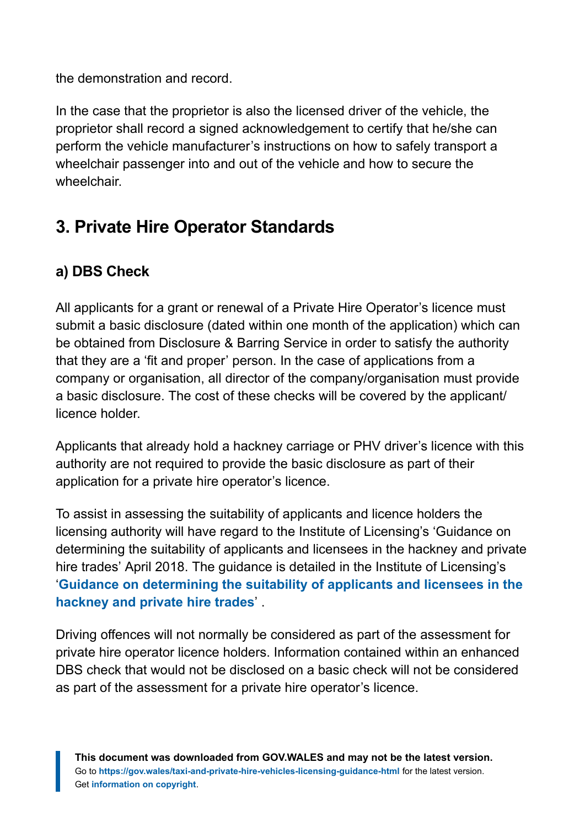the demonstration and record.

In the case that the proprietor is also the licensed driver of the vehicle, the proprietor shall record a signed acknowledgement to certify that he/she can perform the vehicle manufacturer's instructions on how to safely transport a wheelchair passenger into and out of the vehicle and how to secure the wheelchair.

# **3. Private Hire Operator Standards**

#### **a) DBS Check**

All applicants for a grant or renewal of a Private Hire Operator's licence must submit a basic disclosure (dated within one month of the application) which can be obtained from Disclosure & Barring Service in order to satisfy the authority that they are a 'fit and proper' person. In the case of applications from a company or organisation, all director of the company/organisation must provide a basic disclosure. The cost of these checks will be covered by the applicant/ licence holder.

Applicants that already hold a hackney carriage or PHV driver's licence with this authority are not required to provide the basic disclosure as part of their application for a private hire operator's licence.

To assist in assessing the suitability of applicants and licence holders the licensing authority will have regard to the Institute of Licensing's 'Guidance on determining the suitability of applicants and licensees in the hackney and private hire trades' April 2018. The guidance is detailed in the Institute of Licensing's '**[Guidance on determining the suitability of applicants and licensees in the](https://instituteoflicensing.org/documents/Guidance_on_Suitability_Web_Version_(16_May_2018).pdf) [hackney and private hire trades](https://instituteoflicensing.org/documents/Guidance_on_Suitability_Web_Version_(16_May_2018).pdf)**' .

Driving offences will not normally be considered as part of the assessment for private hire operator licence holders. Information contained within an enhanced DBS check that would not be disclosed on a basic check will not be considered as part of the assessment for a private hire operator's licence.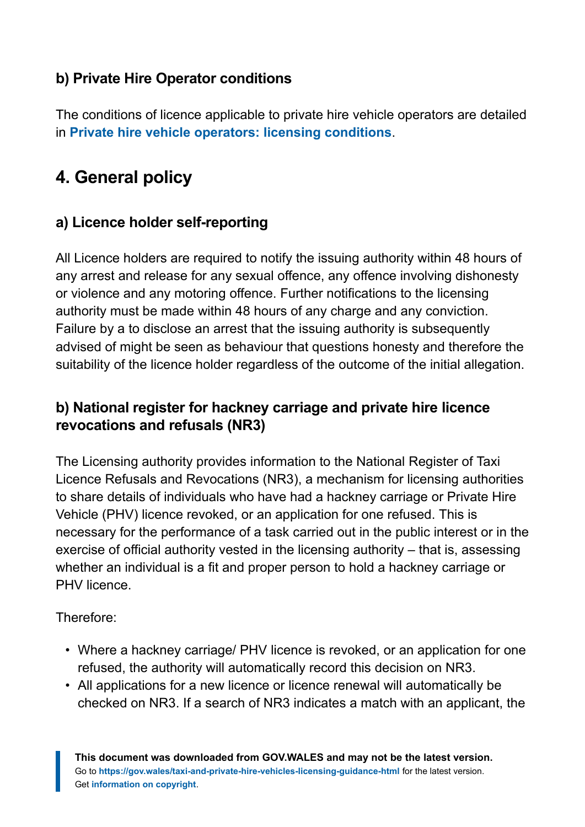#### **b) Private Hire Operator conditions**

The conditions of licence applicable to private hire vehicle operators are detailed in **[Private hire vehicle operators: licensing conditions](https://gov.wales/private-hire-vehicle-operators-licensing-conditions)**.

# **4. General policy**

#### **a) Licence holder self-reporting**

All Licence holders are required to notify the issuing authority within 48 hours of any arrest and release for any sexual offence, any offence involving dishonesty or violence and any motoring offence. Further notifications to the licensing authority must be made within 48 hours of any charge and any conviction. Failure by a to disclose an arrest that the issuing authority is subsequently advised of might be seen as behaviour that questions honesty and therefore the suitability of the licence holder regardless of the outcome of the initial allegation.

#### **b) National register for hackney carriage and private hire licence revocations and refusals (NR3)**

The Licensing authority provides information to the National Register of Taxi Licence Refusals and Revocations (NR3), a mechanism for licensing authorities to share details of individuals who have had a hackney carriage or Private Hire Vehicle (PHV) licence revoked, or an application for one refused. This is necessary for the performance of a task carried out in the public interest or in the exercise of official authority vested in the licensing authority – that is, assessing whether an individual is a fit and proper person to hold a hackney carriage or PHV licence.

Therefore:

- Where a hackney carriage/ PHV licence is revoked, or an application for one refused, the authority will automatically record this decision on NR3.
- All applications for a new licence or licence renewal will automatically be checked on NR3. If a search of NR3 indicates a match with an applicant, the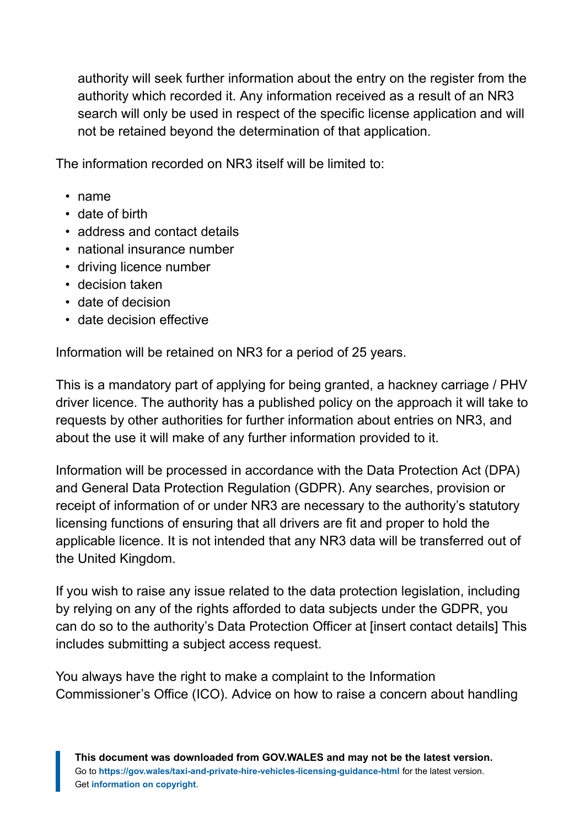authority will seek further information about the entry on the register from the authority which recorded it. Any information received as a result of an NR3 search will only be used in respect of the specific license application and will not be retained beyond the determination of that application.

The information recorded on NR3 itself will be limited to:

- name
- date of birth
- address and contact details
- national insurance number
- driving licence number
- decision taken
- date of decision
- date decision effective

Information will be retained on NR3 for a period of 25 years.

This is a mandatory part of applying for being granted, a hackney carriage / PHV driver licence. The authority has a published policy on the approach it will take to requests by other authorities for further information about entries on NR3, and about the use it will make of any further information provided to it.

Information will be processed in accordance with the Data Protection Act (DPA) and General Data Protection Regulation (GDPR). Any searches, provision or receipt of information of or under NR3 are necessary to the authority's statutory licensing functions of ensuring that all drivers are fit and proper to hold the applicable licence. It is not intended that any NR3 data will be transferred out of the United Kingdom.

If you wish to raise any issue related to the data protection legislation, including by relying on any of the rights afforded to data subjects under the GDPR, you can do so to the authority's Data Protection Officer at [insert contact details] This includes submitting a subject access request.

You always have the right to make a complaint to the Information Commissioner's Office (ICO). Advice on how to raise a concern about handling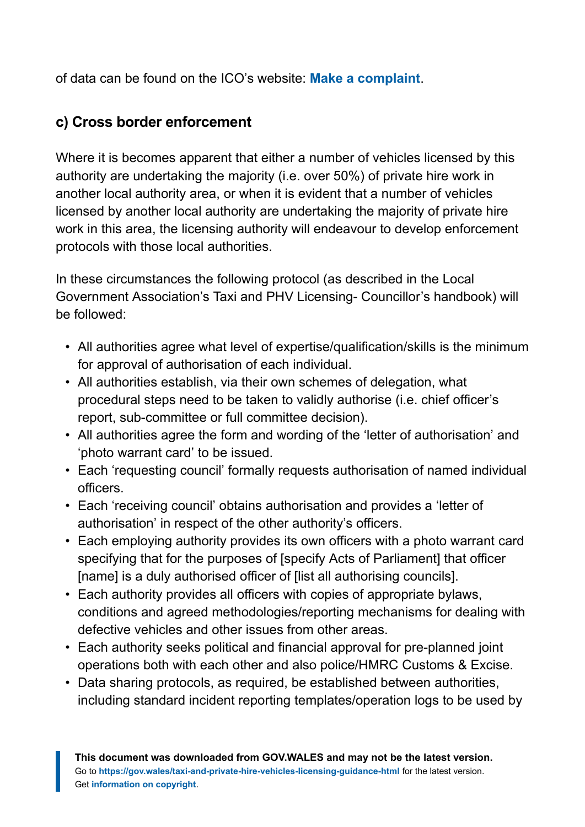of data can be found on the ICO's website: **[Make a complaint](https://ico.org.uk/make-a-complaint/)**.

#### **c) Cross border enforcement**

Where it is becomes apparent that either a number of vehicles licensed by this authority are undertaking the majority (i.e. over 50%) of private hire work in another local authority area, or when it is evident that a number of vehicles licensed by another local authority are undertaking the majority of private hire work in this area, the licensing authority will endeavour to develop enforcement protocols with those local authorities.

In these circumstances the following protocol (as described in the Local Government Association's Taxi and PHV Licensing- Councillor's handbook) will be followed:

- All authorities agree what level of expertise/qualification/skills is the minimum for approval of authorisation of each individual.
- All authorities establish, via their own schemes of delegation, what procedural steps need to be taken to validly authorise (i.e. chief officer's report, sub-committee or full committee decision).
- All authorities agree the form and wording of the 'letter of authorisation' and 'photo warrant card' to be issued.
- Each 'requesting council' formally requests authorisation of named individual officers.
- Each 'receiving council' obtains authorisation and provides a 'letter of authorisation' in respect of the other authority's officers.
- Each employing authority provides its own officers with a photo warrant card specifying that for the purposes of [specify Acts of Parliament] that officer [name] is a duly authorised officer of [list all authorising councils].
- Each authority provides all officers with copies of appropriate bylaws, conditions and agreed methodologies/reporting mechanisms for dealing with defective vehicles and other issues from other areas.
- Each authority seeks political and financial approval for pre-planned joint operations both with each other and also police/HMRC Customs & Excise.
- Data sharing protocols, as required, be established between authorities, including standard incident reporting templates/operation logs to be used by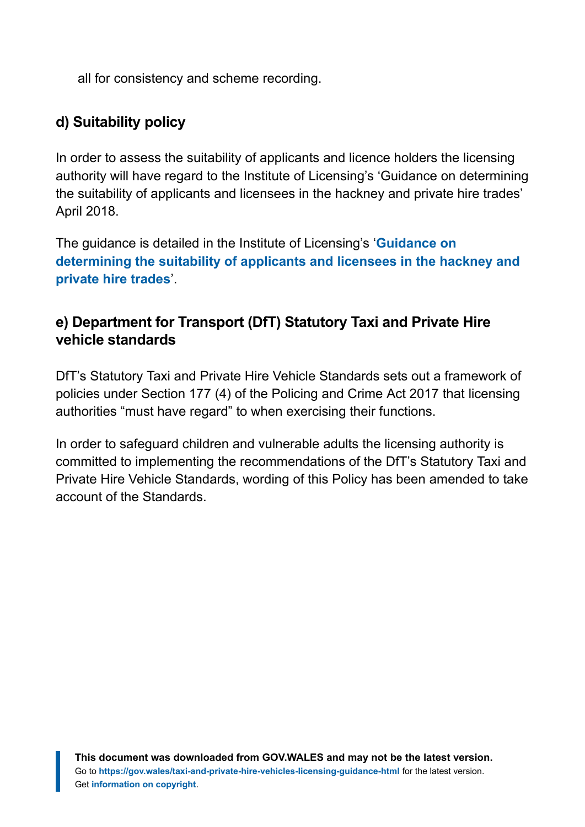all for consistency and scheme recording.

#### **d) Suitability policy**

In order to assess the suitability of applicants and licence holders the licensing authority will have regard to the Institute of Licensing's 'Guidance on determining the suitability of applicants and licensees in the hackney and private hire trades' April 2018.

The guidance is detailed in the Institute of Licensing's '**[Guidance on](https://instituteoflicensing.org/documents/Guidance_on_Suitability_Web_Version_(16_May_2018).pdf) [determining the suitability of applicants and licensees in the hackney and](https://instituteoflicensing.org/documents/Guidance_on_Suitability_Web_Version_(16_May_2018).pdf) [private hire trades](https://instituteoflicensing.org/documents/Guidance_on_Suitability_Web_Version_(16_May_2018).pdf)**'.

#### **e) Department for Transport (DfT) Statutory Taxi and Private Hire vehicle standards**

DfT's Statutory Taxi and Private Hire Vehicle Standards sets out a framework of policies under Section 177 (4) of the Policing and Crime Act 2017 that licensing authorities "must have regard" to when exercising their functions.

In order to safeguard children and vulnerable adults the licensing authority is committed to implementing the recommendations of the DfT's Statutory Taxi and Private Hire Vehicle Standards, wording of this Policy has been amended to take account of the Standards.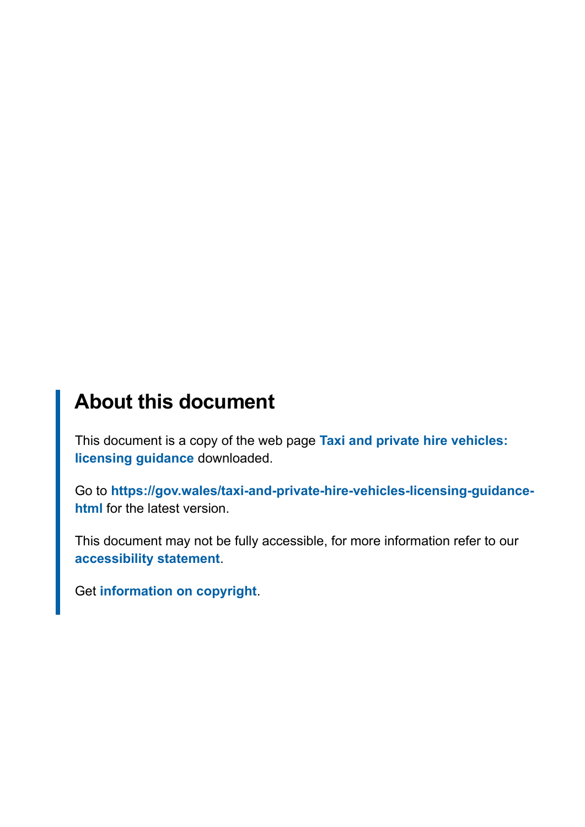# **About this document**

This document is a copy of the web page **[Taxi and private hire vehicles:](https://gov.wales/taxi-and-private-hire-vehicles-licensing-guidance-html) [licensing guidance](https://gov.wales/taxi-and-private-hire-vehicles-licensing-guidance-html)** downloaded.

Go to **[https://gov.wales/taxi-and-private-hire-vehicles-licensing-guidance](https://gov.wales/taxi-and-private-hire-vehicles-licensing-guidance-html)[html](https://gov.wales/taxi-and-private-hire-vehicles-licensing-guidance-html)** for the latest version.

This document may not be fully accessible, for more information refer to our **[accessibility statement](https://gov.wales/accessibility-statement-govwales)**.

Get **[information on copyright](https://gov.wales/copyright-statement)**.